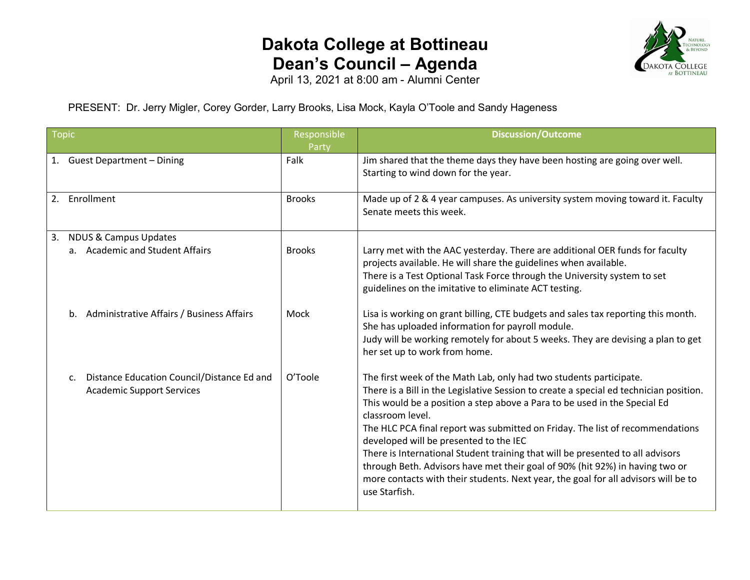## **Dakota College at Bottineau Dean's Council – Agenda**



April 13, 2021 at 8:00 am - Alumni Center

PRESENT: Dr. Jerry Migler, Corey Gorder, Larry Brooks, Lisa Mock, Kayla O'Toole and Sandy Hageness

| <b>Topic</b>                                                                                     | Responsible<br>Party | <b>Discussion/Outcome</b>                                                                                                                                                                                                                                                                                                                                                                                                                                                                                                                                                                                                                                         |
|--------------------------------------------------------------------------------------------------|----------------------|-------------------------------------------------------------------------------------------------------------------------------------------------------------------------------------------------------------------------------------------------------------------------------------------------------------------------------------------------------------------------------------------------------------------------------------------------------------------------------------------------------------------------------------------------------------------------------------------------------------------------------------------------------------------|
| 1. Guest Department - Dining                                                                     | Falk                 | Jim shared that the theme days they have been hosting are going over well.<br>Starting to wind down for the year.                                                                                                                                                                                                                                                                                                                                                                                                                                                                                                                                                 |
| Enrollment<br>2.                                                                                 | <b>Brooks</b>        | Made up of 2 & 4 year campuses. As university system moving toward it. Faculty<br>Senate meets this week.                                                                                                                                                                                                                                                                                                                                                                                                                                                                                                                                                         |
| <b>NDUS &amp; Campus Updates</b><br>3.<br>a. Academic and Student Affairs                        | <b>Brooks</b>        | Larry met with the AAC yesterday. There are additional OER funds for faculty<br>projects available. He will share the guidelines when available.<br>There is a Test Optional Task Force through the University system to set<br>guidelines on the imitative to eliminate ACT testing.                                                                                                                                                                                                                                                                                                                                                                             |
| Administrative Affairs / Business Affairs<br>$h_{-}$                                             | Mock                 | Lisa is working on grant billing, CTE budgets and sales tax reporting this month.<br>She has uploaded information for payroll module.<br>Judy will be working remotely for about 5 weeks. They are devising a plan to get<br>her set up to work from home.                                                                                                                                                                                                                                                                                                                                                                                                        |
| Distance Education Council/Distance Ed and<br>$\mathsf{C}$ .<br><b>Academic Support Services</b> | O'Toole              | The first week of the Math Lab, only had two students participate.<br>There is a Bill in the Legislative Session to create a special ed technician position.<br>This would be a position a step above a Para to be used in the Special Ed<br>classroom level.<br>The HLC PCA final report was submitted on Friday. The list of recommendations<br>developed will be presented to the IEC<br>There is International Student training that will be presented to all advisors<br>through Beth. Advisors have met their goal of 90% (hit 92%) in having two or<br>more contacts with their students. Next year, the goal for all advisors will be to<br>use Starfish. |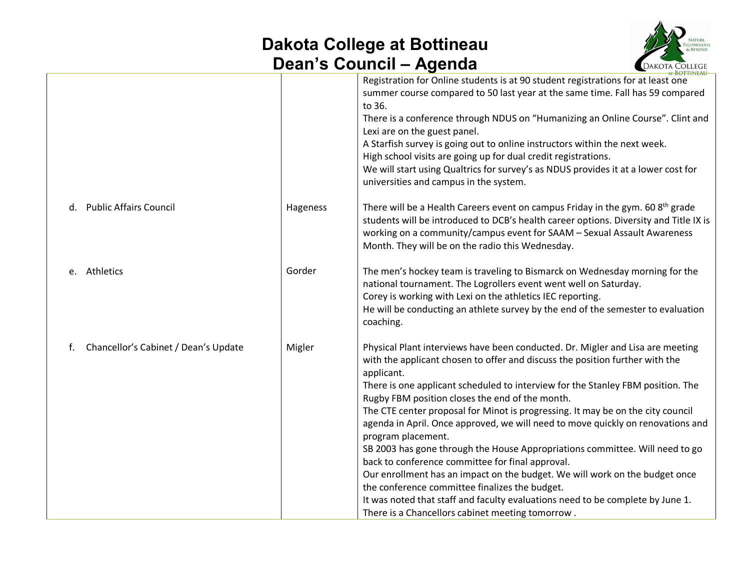## **Dakota College at Bottineau Dean's Council – Agenda**



|                                            |          | AT BOTTINEAU                                                                                                                                                                                                                                                                                                                                                                                                                                                                                                                                                                                                                                                                                                                                                                                                                                                                                                              |
|--------------------------------------------|----------|---------------------------------------------------------------------------------------------------------------------------------------------------------------------------------------------------------------------------------------------------------------------------------------------------------------------------------------------------------------------------------------------------------------------------------------------------------------------------------------------------------------------------------------------------------------------------------------------------------------------------------------------------------------------------------------------------------------------------------------------------------------------------------------------------------------------------------------------------------------------------------------------------------------------------|
|                                            |          | Registration for Online students is at 90 student registrations for at least one<br>summer course compared to 50 last year at the same time. Fall has 59 compared<br>to 36.<br>There is a conference through NDUS on "Humanizing an Online Course". Clint and<br>Lexi are on the guest panel.<br>A Starfish survey is going out to online instructors within the next week.<br>High school visits are going up for dual credit registrations.<br>We will start using Qualtrics for survey's as NDUS provides it at a lower cost for<br>universities and campus in the system.                                                                                                                                                                                                                                                                                                                                             |
| d. Public Affairs Council                  | Hageness | There will be a Health Careers event on campus Friday in the gym. 60 8 <sup>th</sup> grade<br>students will be introduced to DCB's health career options. Diversity and Title IX is<br>working on a community/campus event for SAAM - Sexual Assault Awareness<br>Month. They will be on the radio this Wednesday.                                                                                                                                                                                                                                                                                                                                                                                                                                                                                                                                                                                                        |
| e. Athletics                               | Gorder   | The men's hockey team is traveling to Bismarck on Wednesday morning for the<br>national tournament. The Logrollers event went well on Saturday.<br>Corey is working with Lexi on the athletics IEC reporting.<br>He will be conducting an athlete survey by the end of the semester to evaluation<br>coaching.                                                                                                                                                                                                                                                                                                                                                                                                                                                                                                                                                                                                            |
| Chancellor's Cabinet / Dean's Update<br>f. | Migler   | Physical Plant interviews have been conducted. Dr. Migler and Lisa are meeting<br>with the applicant chosen to offer and discuss the position further with the<br>applicant.<br>There is one applicant scheduled to interview for the Stanley FBM position. The<br>Rugby FBM position closes the end of the month.<br>The CTE center proposal for Minot is progressing. It may be on the city council<br>agenda in April. Once approved, we will need to move quickly on renovations and<br>program placement.<br>SB 2003 has gone through the House Appropriations committee. Will need to go<br>back to conference committee for final approval.<br>Our enrollment has an impact on the budget. We will work on the budget once<br>the conference committee finalizes the budget.<br>It was noted that staff and faculty evaluations need to be complete by June 1.<br>There is a Chancellors cabinet meeting tomorrow. |